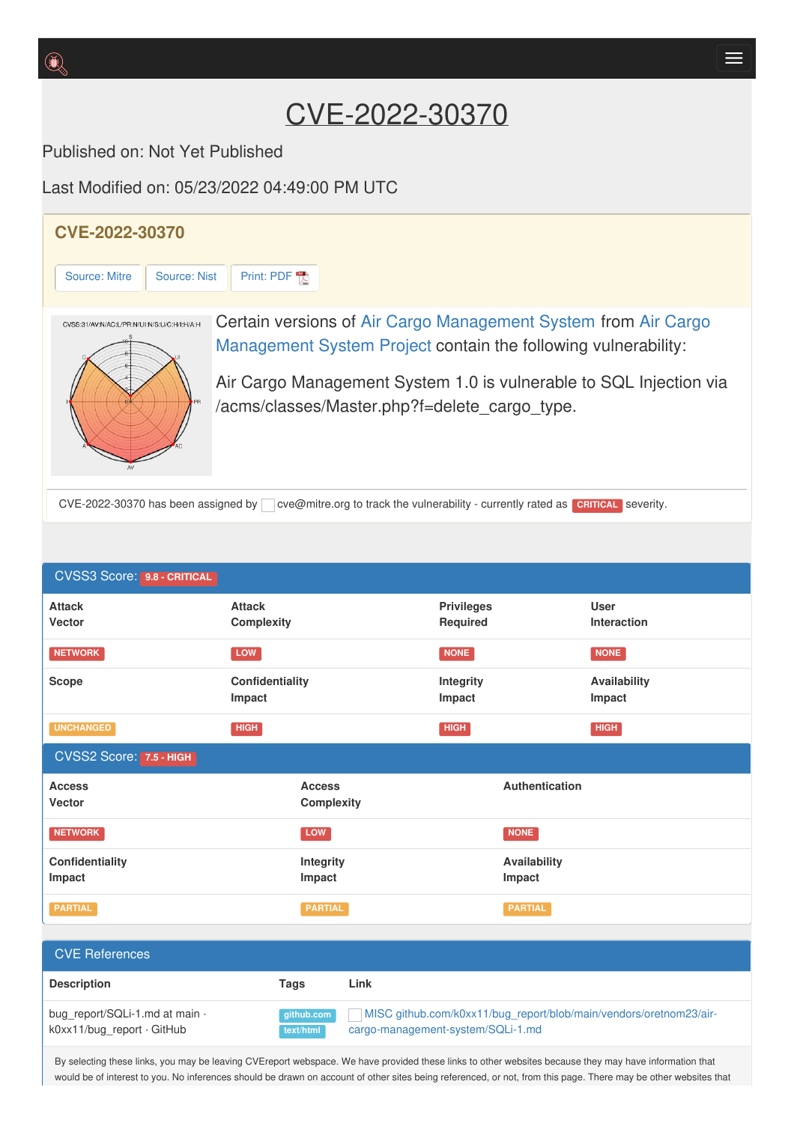## CVE-2022-30370

Published on: Not Yet Published

Last Modified on: 05/23/2022 04:49:00 PM UTC



| <b>CVSS3 Score: 9.8 - CRITICAL</b>                           |                                    |                                                                                                         |                               |                        |                            |
|--------------------------------------------------------------|------------------------------------|---------------------------------------------------------------------------------------------------------|-------------------------------|------------------------|----------------------------|
| <b>Attack</b><br>Vector                                      | <b>Attack</b><br>Complexity        |                                                                                                         | <b>Privileges</b><br>Required |                        | <b>User</b><br>Interaction |
| <b>NETWORK</b>                                               | LOW                                |                                                                                                         | NONE                          |                        | <b>NONE</b>                |
| Scope                                                        | Confidentiality<br>Impact          |                                                                                                         | Integrity<br>Impact           |                        | Availability<br>Impact     |
| <b>UNCHANGED</b>                                             | <b>HIGH</b>                        |                                                                                                         | <b>HIGH</b>                   |                        | <b>HIGH</b>                |
| CVSS2 Score: 7.5 - HIGH                                      |                                    |                                                                                                         |                               |                        |                            |
| <b>Access</b><br>Vector                                      | <b>Access</b><br><b>Complexity</b> |                                                                                                         | Authentication                |                        |                            |
| <b>NETWORK</b>                                               | LOW                                |                                                                                                         |                               | <b>NONE</b>            |                            |
| <b>Confidentiality</b><br>Impact                             | Integrity<br>Impact                |                                                                                                         |                               | Availability<br>Impact |                            |
| <b>PARTIAL</b>                                               | <b>PARTIAL</b>                     |                                                                                                         |                               | <b>PARTIAL</b>         |                            |
| <b>CVE References</b>                                        |                                    |                                                                                                         |                               |                        |                            |
| <b>Description</b>                                           | <b>Tags</b>                        | Link                                                                                                    |                               |                        |                            |
|                                                              |                                    |                                                                                                         |                               |                        |                            |
| bug_report/SQLi-1.md at main ·<br>k0xx11/bug_report · GitHub | github.com<br>text/html            | MISC github.com/k0xx11/bug_report/blob/main/vendors/oretnom23/air-<br>cargo-management-system/SQLi-1.md |                               |                        |                            |

By selecting these links, you may be leaving CVEreport webspace. We have provided these links to other websites because they may have information that would be of interest to you. No inferences should be drawn on account of other sites being referenced, or not, from this page. There may be other websites that